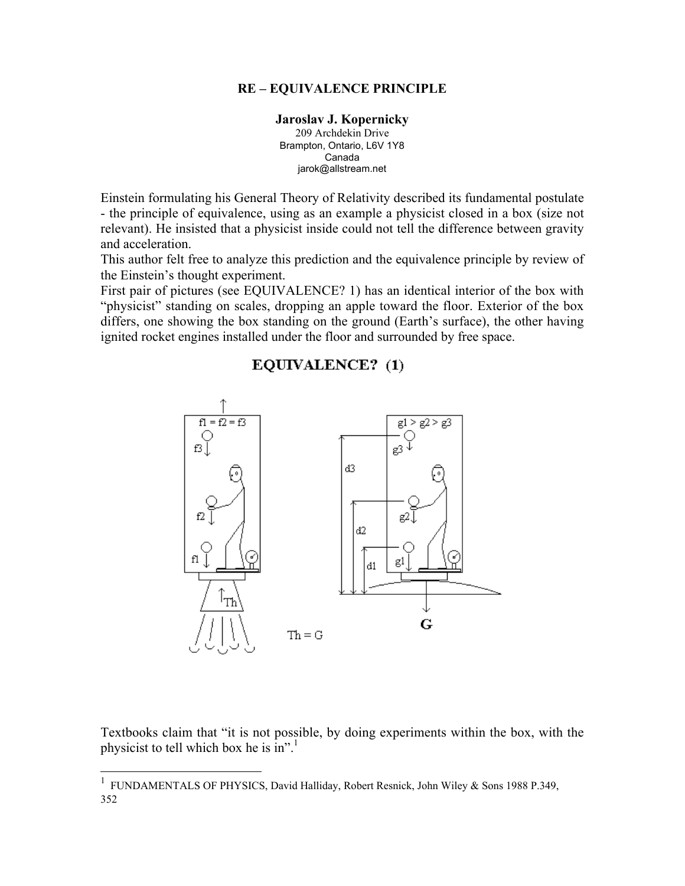## RE – EQUIVALENCE PRINCIPLE

## Jaroslav J. Kopernicky

209 Archdekin Drive Brampton, Ontario, L6V 1Y8 Canada jarok@allstream.net

Einstein formulating his General Theory of Relativity described its fundamental postulate - the principle of equivalence, using as an example a physicist closed in a box (size not relevant). He insisted that a physicist inside could not tell the difference between gravity and acceleration.

This author felt free to analyze this prediction and the equivalence principle by review of the Einstein's thought experiment.

First pair of pictures (see EQUIVALENCE? 1) has an identical interior of the box with "physicist" standing on scales, dropping an apple toward the floor. Exterior of the box differs, one showing the box standing on the ground (Earth's surface), the other having ignited rocket engines installed under the floor and surrounded by free space.

## EQUIVALENCE? (1)



Textbooks claim that "it is not possible, by doing experiments within the box, with the physicist to tell which box he is in".<sup>1</sup>

 <sup>1</sup> FUNDAMENTALS OF PHYSICS, David Halliday, Robert Resnick, John Wiley & Sons 1988 P.349, 352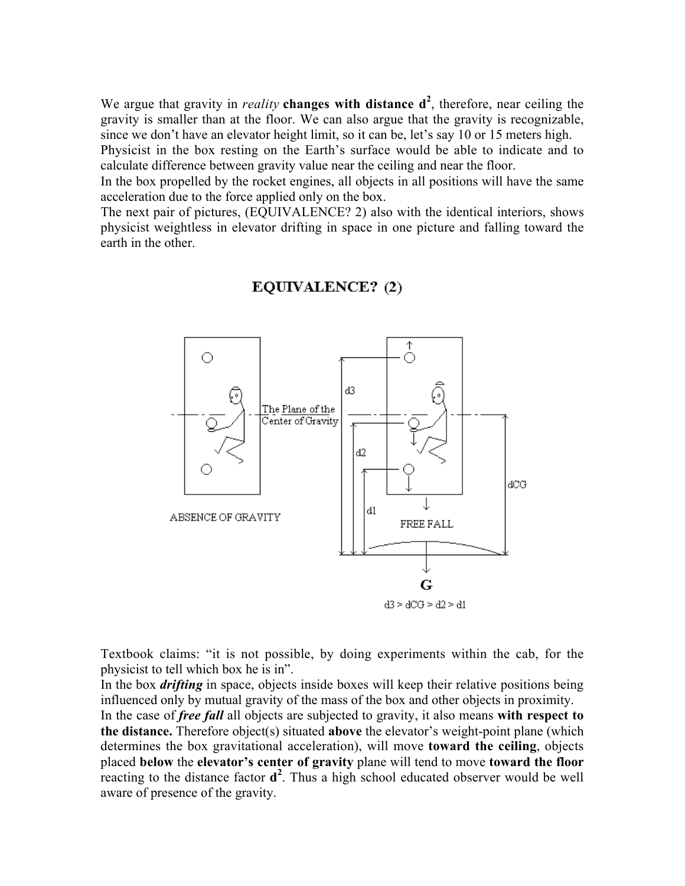We argue that gravity in *reality* changes with distance  $d^2$ , therefore, near ceiling the gravity is smaller than at the floor. We can also argue that the gravity is recognizable, since we don't have an elevator height limit, so it can be, let's say 10 or 15 meters high.

Physicist in the box resting on the Earth's surface would be able to indicate and to calculate difference between gravity value near the ceiling and near the floor.

In the box propelled by the rocket engines, all objects in all positions will have the same acceleration due to the force applied only on the box.

The next pair of pictures, (EQUIVALENCE? 2) also with the identical interiors, shows physicist weightless in elevator drifting in space in one picture and falling toward the earth in the other.



## EQUIVALENCE? (2)

Textbook claims: "it is not possible, by doing experiments within the cab, for the physicist to tell which box he is in".

In the box *drifting* in space, objects inside boxes will keep their relative positions being influenced only by mutual gravity of the mass of the box and other objects in proximity. In the case of *free fall* all objects are subjected to gravity, it also means with respect to the distance. Therefore object(s) situated above the elevator's weight-point plane (which determines the box gravitational acceleration), will move toward the ceiling, objects placed below the elevator's center of gravity plane will tend to move toward the floor reacting to the distance factor  $d^2$ . Thus a high school educated observer would be well aware of presence of the gravity.